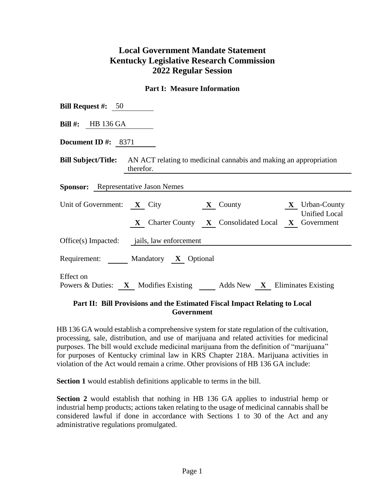# **Local Government Mandate Statement Kentucky Legislative Research Commission 2022 Regular Session**

### **Part I: Measure Information**

| <b>Bill Request #:</b> $50$                                                                                                                                                     |  |  |  |  |  |  |  |
|---------------------------------------------------------------------------------------------------------------------------------------------------------------------------------|--|--|--|--|--|--|--|
| Bill #: HB $136$ GA                                                                                                                                                             |  |  |  |  |  |  |  |
| Document ID #: $8371$                                                                                                                                                           |  |  |  |  |  |  |  |
| <b>Bill Subject/Title:</b> AN ACT relating to medicinal cannabis and making an appropriation<br>therefor.                                                                       |  |  |  |  |  |  |  |
| <b>Sponsor:</b> Representative Jason Nemes                                                                                                                                      |  |  |  |  |  |  |  |
| Unit of Government: $X$ City<br><b>X</b> Urban-County<br>$\mathbf{X}$ County<br><b>Unified Local</b><br><b>X</b> Charter County <b>X</b> Consolidated Local <b>X</b> Government |  |  |  |  |  |  |  |
| Office(s) Impacted: jails, law enforcement                                                                                                                                      |  |  |  |  |  |  |  |
| Requirement: Mandatory X Optional                                                                                                                                               |  |  |  |  |  |  |  |
| <b>Effect</b> on<br>Powers & Duties: X Modifies Existing Adds New X Eliminates Existing                                                                                         |  |  |  |  |  |  |  |

#### **Part II: Bill Provisions and the Estimated Fiscal Impact Relating to Local Government**

HB 136 GA would establish a comprehensive system for state regulation of the cultivation, processing, sale, distribution, and use of marijuana and related activities for medicinal purposes. The bill would exclude medicinal marijuana from the definition of "marijuana" for purposes of Kentucky criminal law in KRS Chapter 218A. Marijuana activities in violation of the Act would remain a crime. Other provisions of HB 136 GA include:

**Section 1** would establish definitions applicable to terms in the bill.

**Section 2** would establish that nothing in HB 136 GA applies to industrial hemp or industrial hemp products; actions taken relating to the usage of medicinal cannabis shall be considered lawful if done in accordance with Sections 1 to 30 of the Act and any administrative regulations promulgated.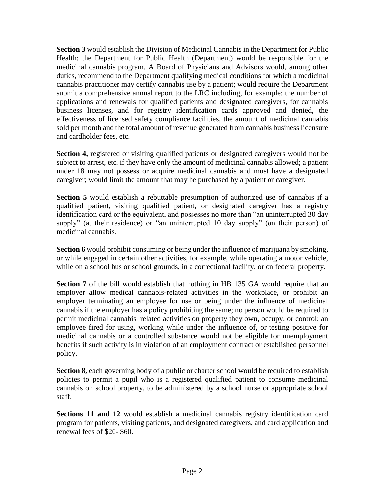**Section 3** would establish the Division of Medicinal Cannabis in the Department for Public Health; the Department for Public Health (Department) would be responsible for the medicinal cannabis program. A Board of Physicians and Advisors would, among other duties, recommend to the Department qualifying medical conditions for which a medicinal cannabis practitioner may certify cannabis use by a patient; would require the Department submit a comprehensive annual report to the LRC including, for example: the number of applications and renewals for qualified patients and designated caregivers, for cannabis business licenses, and for registry identification cards approved and denied, the effectiveness of licensed safety compliance facilities, the amount of medicinal cannabis sold per month and the total amount of revenue generated from cannabis business licensure and cardholder fees, etc.

**Section 4,** registered or visiting qualified patients or designated caregivers would not be subject to arrest, etc. if they have only the amount of medicinal cannabis allowed; a patient under 18 may not possess or acquire medicinal cannabis and must have a designated caregiver; would limit the amount that may be purchased by a patient or caregiver.

**Section 5** would establish a rebuttable presumption of authorized use of cannabis if a qualified patient, visiting qualified patient, or designated caregiver has a registry identification card or the equivalent, and possesses no more than "an uninterrupted 30 day supply" (at their residence) or "an uninterrupted 10 day supply" (on their person) of medicinal cannabis.

**Section 6** would prohibit consuming or being under the influence of marijuana by smoking, or while engaged in certain other activities, for example, while operating a motor vehicle, while on a school bus or school grounds, in a correctional facility, or on federal property.

**Section 7** of the bill would establish that nothing in HB 135 GA would require that an employer allow medical cannabis-related activities in the workplace, or prohibit an employer terminating an employee for use or being under the influence of medicinal cannabis if the employer has a policy prohibiting the same; no person would be required to permit medicinal cannabis–related activities on property they own, occupy, or control; an employee fired for using, working while under the influence of, or testing positive for medicinal cannabis or a controlled substance would not be eligible for unemployment benefits if such activity is in violation of an employment contract or established personnel policy.

**Section 8,** each governing body of a public or charter school would be required to establish policies to permit a pupil who is a registered qualified patient to consume medicinal cannabis on school property, to be administered by a school nurse or appropriate school staff.

**Sections 11 and 12** would establish a medicinal cannabis registry identification card program for patients, visiting patients, and designated caregivers, and card application and renewal fees of \$20- \$60.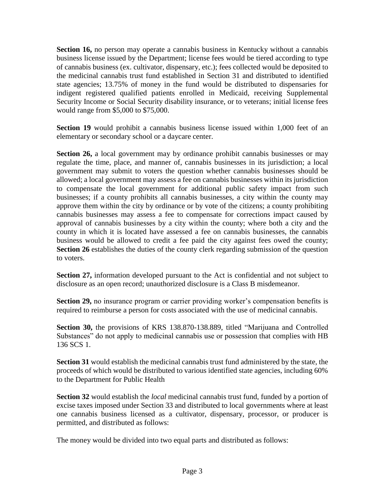**Section 16,** no person may operate a cannabis business in Kentucky without a cannabis business license issued by the Department; license fees would be tiered according to type of cannabis business (ex. cultivator, dispensary, etc.); fees collected would be deposited to the medicinal cannabis trust fund established in Section 31 and distributed to identified state agencies; 13.75% of money in the fund would be distributed to dispensaries for indigent registered qualified patients enrolled in Medicaid, receiving Supplemental Security Income or Social Security disability insurance, or to veterans; initial license fees would range from \$5,000 to \$75,000.

**Section 19** would prohibit a cannabis business license issued within 1,000 feet of an elementary or secondary school or a daycare center.

**Section 26,** a local government may by ordinance prohibit cannabis businesses or may regulate the time, place, and manner of, cannabis businesses in its jurisdiction; a local government may submit to voters the question whether cannabis businesses should be allowed; a local government may assess a fee on cannabis businesses within its jurisdiction to compensate the local government for additional public safety impact from such businesses; if a county prohibits all cannabis businesses, a city within the county may approve them within the city by ordinance or by vote of the citizens; a county prohibiting cannabis businesses may assess a fee to compensate for corrections impact caused by approval of cannabis businesses by a city within the county; where both a city and the county in which it is located have assessed a fee on cannabis businesses, the cannabis business would be allowed to credit a fee paid the city against fees owed the county; **Section 26** establishes the duties of the county clerk regarding submission of the question to voters.

**Section 27,** information developed pursuant to the Act is confidential and not subject to disclosure as an open record; unauthorized disclosure is a Class B misdemeanor.

**Section 29,** no insurance program or carrier providing worker's compensation benefits is required to reimburse a person for costs associated with the use of medicinal cannabis.

**Section 30,** the provisions of KRS 138.870-138.889, titled "Marijuana and Controlled Substances" do not apply to medicinal cannabis use or possession that complies with HB 136 SCS 1.

**Section 31** would establish the medicinal cannabis trust fund administered by the state, the proceeds of which would be distributed to various identified state agencies, including 60% to the Department for Public Health

**Section 32** would establish the *local* medicinal cannabis trust fund, funded by a portion of excise taxes imposed under Section 33 and distributed to local governments where at least one cannabis business licensed as a cultivator, dispensary, processor, or producer is permitted, and distributed as follows:

The money would be divided into two equal parts and distributed as follows: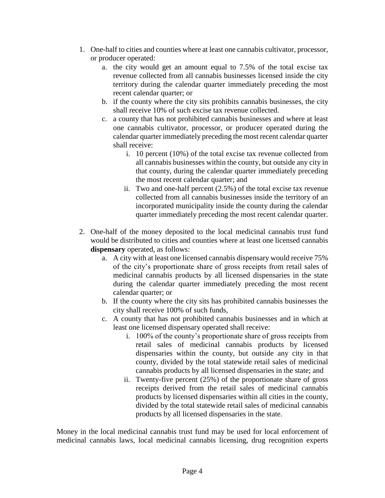- 1. One-half to cities and counties where at least one cannabis cultivator, processor, or producer operated:
	- a. the city would get an amount equal to 7.5% of the total excise tax revenue collected from all cannabis businesses licensed inside the city territory during the calendar quarter immediately preceding the most recent calendar quarter; or
	- b. if the county where the city sits prohibits cannabis businesses, the city shall receive 10% of such excise tax revenue collected.
	- c. a county that has not prohibited cannabis businesses and where at least one cannabis cultivator, processor, or producer operated during the calendar quarter immediately preceding the most recent calendar quarter shall receive:
		- i. 10 percent (10%) of the total excise tax revenue collected from all cannabis businesses within the county, but outside any city in that county, during the calendar quarter immediately preceding the most recent calendar quarter; and
		- ii. Two and one-half percent (2.5%) of the total excise tax revenue collected from all cannabis businesses inside the territory of an incorporated municipality inside the county during the calendar quarter immediately preceding the most recent calendar quarter.
- 2. One-half of the money deposited to the local medicinal cannabis trust fund would be distributed to cities and counties where at least one licensed cannabis **dispensary** operated, as follows:
	- a. A city with at least one licensed cannabis dispensary would receive 75% of the city's proportionate share of gross receipts from retail sales of medicinal cannabis products by all licensed dispensaries in the state during the calendar quarter immediately preceding the most recent calendar quarter; or
	- b. If the county where the city sits has prohibited cannabis businesses the city shall receive 100% of such funds,
	- c. A county that has not prohibited cannabis businesses and in which at least one licensed dispensary operated shall receive:
		- i. 100% of the county's proportionate share of gross receipts from retail sales of medicinal cannabis products by licensed dispensaries within the county, but outside any city in that county, divided by the total statewide retail sales of medicinal cannabis products by all licensed dispensaries in the state; and
		- ii. Twenty-five percent (25%) of the proportionate share of gross receipts derived from the retail sales of medicinal cannabis products by licensed dispensaries within all cities in the county, divided by the total statewide retail sales of medicinal cannabis products by all licensed dispensaries in the state.

Money in the local medicinal cannabis trust fund may be used for local enforcement of medicinal cannabis laws, local medicinal cannabis licensing, drug recognition experts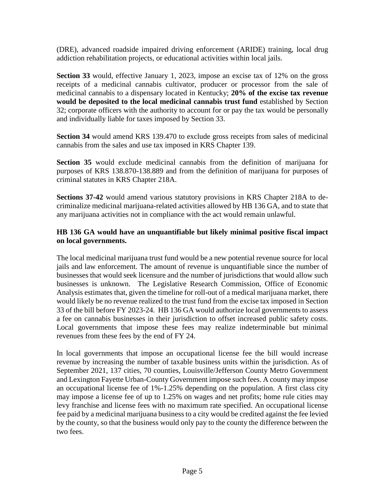(DRE), advanced roadside impaired driving enforcement (ARIDE) training, local drug addiction rehabilitation projects, or educational activities within local jails.

**Section 33** would, effective January 1, 2023, impose an excise tax of 12% on the gross receipts of a medicinal cannabis cultivator, producer or processor from the sale of medicinal cannabis to a dispensary located in Kentucky; **20% of the excise tax revenue would be deposited to the local medicinal cannabis trust fund** established by Section 32; corporate officers with the authority to account for or pay the tax would be personally and individually liable for taxes imposed by Section 33.

**Section 34** would amend KRS 139.470 to exclude gross receipts from sales of medicinal cannabis from the sales and use tax imposed in KRS Chapter 139.

**Section 35** would exclude medicinal cannabis from the definition of marijuana for purposes of KRS 138.870-138.889 and from the definition of marijuana for purposes of criminal statutes in KRS Chapter 218A.

**Sections 37-42** would amend various statutory provisions in KRS Chapter 218A to decriminalize medicinal marijuana-related activities allowed by HB 136 GA, and to state that any marijuana activities not in compliance with the act would remain unlawful.

# **HB 136 GA would have an unquantifiable but likely minimal positive fiscal impact on local governments.**

The local medicinal marijuana trust fund would be a new potential revenue source for local jails and law enforcement. The amount of revenue is unquantifiable since the number of businesses that would seek licensure and the number of jurisdictions that would allow such businesses is unknown. The Legislative Research Commission, Office of Economic Analysis estimates that, given the timeline for roll-out of a medical marijuana market, there would likely be no revenue realized to the trust fund from the excise tax imposed in Section 33 of the bill before FY 2023-24. HB 136 GA would authorize local governments to assess a fee on cannabis businesses in their jurisdiction to offset increased public safety costs. Local governments that impose these fees may realize indeterminable but minimal revenues from these fees by the end of FY 24.

In local governments that impose an occupational license fee the bill would increase revenue by increasing the number of taxable business units within the jurisdiction. As of September 2021, 137 cities, 70 counties, Louisville/Jefferson County Metro Government and Lexington Fayette Urban-County Government impose such fees. A county may impose an occupational license fee of 1%-1.25% depending on the population. A first class city may impose a license fee of up to 1.25% on wages and net profits; home rule cities may levy franchise and license fees with no maximum rate specified. An occupational license fee paid by a medicinal marijuana business to a city would be credited against the fee levied by the county, so that the business would only pay to the county the difference between the two fees.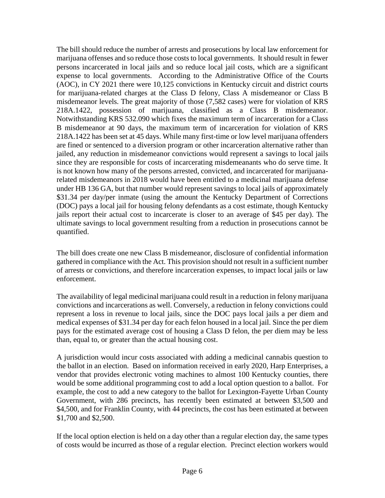The bill should reduce the number of arrests and prosecutions by local law enforcement for marijuana offenses and so reduce those costs to local governments. It should result in fewer persons incarcerated in local jails and so reduce local jail costs, which are a significant expense to local governments. According to the Administrative Office of the Courts (AOC), in CY 2021 there were 10,125 convictions in Kentucky circuit and district courts for marijuana-related charges at the Class D felony, Class A misdemeanor or Class B misdemeanor levels. The great majority of those (7,582 cases) were for violation of KRS 218A.1422, possession of marijuana, classified as a Class B misdemeanor. Notwithstanding KRS 532.090 which fixes the maximum term of incarceration for a Class B misdemeanor at 90 days, the maximum term of incarceration for violation of KRS 218A.1422 has been set at 45 days. While many first-time or low level marijuana offenders are fined or sentenced to a diversion program or other incarceration alternative rather than jailed, any reduction in misdemeanor convictions would represent a savings to local jails since they are responsible for costs of incarcerating misdemeanants who do serve time. It is not known how many of the persons arrested, convicted, and incarcerated for marijuanarelated misdemeanors in 2018 would have been entitled to a medicinal marijuana defense under HB 136 GA, but that number would represent savings to local jails of approximately \$31.34 per day/per inmate (using the amount the Kentucky Department of Corrections (DOC) pays a local jail for housing felony defendants as a cost estimate, though Kentucky jails report their actual cost to incarcerate is closer to an average of \$45 per day). The ultimate savings to local government resulting from a reduction in prosecutions cannot be quantified.

The bill does create one new Class B misdemeanor, disclosure of confidential information gathered in compliance with the Act. This provision should not result in a sufficient number of arrests or convictions, and therefore incarceration expenses, to impact local jails or law enforcement.

The availability of legal medicinal marijuana could result in a reduction in felony marijuana convictions and incarcerations as well. Conversely, a reduction in felony convictions could represent a loss in revenue to local jails, since the DOC pays local jails a per diem and medical expenses of \$31.34 per day for each felon housed in a local jail. Since the per diem pays for the estimated average cost of housing a Class D felon, the per diem may be less than, equal to, or greater than the actual housing cost.

A jurisdiction would incur costs associated with adding a medicinal cannabis question to the ballot in an election. Based on information received in early 2020, Harp Enterprises, a vendor that provides electronic voting machines to almost 100 Kentucky counties, there would be some additional programming cost to add a local option question to a ballot. For example, the cost to add a new category to the ballot for Lexington-Fayette Urban County Government, with 286 precincts, has recently been estimated at between \$3,500 and \$4,500, and for Franklin County, with 44 precincts, the cost has been estimated at between \$1,700 and \$2,500.

If the local option election is held on a day other than a regular election day, the same types of costs would be incurred as those of a regular election. Precinct election workers would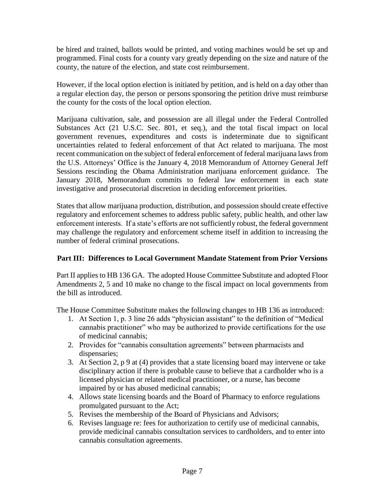be hired and trained, ballots would be printed, and voting machines would be set up and programmed. Final costs for a county vary greatly depending on the size and nature of the county, the nature of the election, and state cost reimbursement.

However, if the local option election is initiated by petition, and is held on a day other than a regular election day, the person or persons sponsoring the petition drive must reimburse the county for the costs of the local option election.

Marijuana cultivation, sale, and possession are all illegal under the Federal Controlled Substances Act (21 U.S.C. Sec. 801, et seq.), and the total fiscal impact on local government revenues, expenditures and costs is indeterminate due to significant uncertainties related to federal enforcement of that Act related to marijuana. The most recent communication on the subject of federal enforcement of federal marijuana laws from the U.S. Attorneys' Office is the January 4, 2018 Memorandum of Attorney General Jeff Sessions rescinding the Obama Administration marijuana enforcement guidance. The January 2018, Memorandum commits to federal law enforcement in each state investigative and prosecutorial discretion in deciding enforcement priorities.

States that allow marijuana production, distribution, and possession should create effective regulatory and enforcement schemes to address public safety, public health, and other law enforcement interests. If a state's efforts are not sufficiently robust, the federal government may challenge the regulatory and enforcement scheme itself in addition to increasing the number of federal criminal prosecutions.

## **Part III: Differences to Local Government Mandate Statement from Prior Versions**

Part II applies to HB 136 GA. The adopted House Committee Substitute and adopted Floor Amendments 2, 5 and 10 make no change to the fiscal impact on local governments from the bill as introduced.

The House Committee Substitute makes the following changes to HB 136 as introduced:

- 1. At Section 1, p. 3 line 26 adds "physician assistant" to the definition of "Medical cannabis practitioner" who may be authorized to provide certifications for the use of medicinal cannabis;
- 2. Provides for "cannabis consultation agreements" between pharmacists and dispensaries;
- 3. At Section 2, p 9 at (4) provides that a state licensing board may intervene or take disciplinary action if there is probable cause to believe that a cardholder who is a licensed physician or related medical practitioner, or a nurse, has become impaired by or has abused medicinal cannabis;
- 4. Allows state licensing boards and the Board of Pharmacy to enforce regulations promulgated pursuant to the Act;
- 5. Revises the membership of the Board of Physicians and Advisors;
- 6. Revises language re: fees for authorization to certify use of medicinal cannabis, provide medicinal cannabis consultation services to cardholders, and to enter into cannabis consultation agreements.